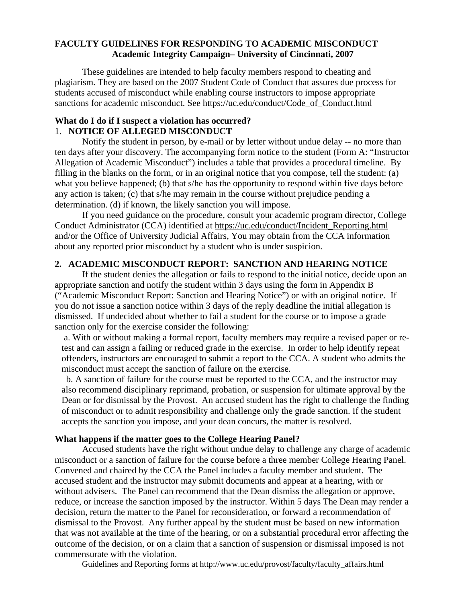#### **FACULTY GUIDELINES FOR RESPONDING TO ACADEMIC MISCONDUCT Academic Integrity Campaign– University of Cincinnati, 2007**

 These guidelines are intended to help faculty members respond to cheating and plagiarism. They are based on the 2007 Student Code of Conduct that assures due process for students accused of misconduct while enabling course instructors to impose appropriate sanctions for academic misconduct. See https://uc.edu/conduct/Code\_of\_Conduct.html

#### **What do I do if I suspect a violation has occurred?**  1. **NOTICE OF ALLEGED MISCONDUCT**

 Notify the student in person, by e-mail or by letter without undue delay -- no more than ten days after your discovery. The accompanying form notice to the student (Form A: "Instructor Allegation of Academic Misconduct") includes a table that provides a procedural timeline. By filling in the blanks on the form, or in an original notice that you compose, tell the student: (a) what you believe happened; (b) that s/he has the opportunity to respond within five days before any action is taken; (c) that s/he may remain in the course without prejudice pending a determination. (d) if known, the likely sanction you will impose.

 If you need guidance on the procedure, consult your academic program director, College Conduct Administrator (CCA) identified at [https://uc.edu/conduct/Incident\\_Reporting.html](https://uc.edu/conduct/Incident_Reporting.html) and/or the Office of University Judicial Affairs, You may obtain from the CCA information about any reported prior misconduct by a student who is under suspicion.

## **2. ACADEMIC MISCONDUCT REPORT: SANCTION AND HEARING NOTICE**

 If the student denies the allegation or fails to respond to the initial notice, decide upon an appropriate sanction and notify the student within 3 days using the form in Appendix B ("Academic Misconduct Report: Sanction and Hearing Notice") or with an original notice. If you do not issue a sanction notice within 3 days of the reply deadline the initial allegation is dismissed. If undecided about whether to fail a student for the course or to impose a grade sanction only for the exercise consider the following:

 a. With or without making a formal report, faculty members may require a revised paper or retest and can assign a failing or reduced grade in the exercise. In order to help identify repeat offenders, instructors are encouraged to submit a report to the CCA. A student who admits the misconduct must accept the sanction of failure on the exercise.

 b. A sanction of failure for the course must be reported to the CCA, and the instructor may also recommend disciplinary reprimand, probation, or suspension for ultimate approval by the Dean or for dismissal by the Provost. An accused student has the right to challenge the finding of misconduct or to admit responsibility and challenge only the grade sanction. If the student accepts the sanction you impose, and your dean concurs, the matter is resolved.

#### **What happens if the matter goes to the College Hearing Panel?**

 Accused students have the right without undue delay to challenge any charge of academic misconduct or a sanction of failure for the course before a three member College Hearing Panel. Convened and chaired by the CCA the Panel includes a faculty member and student. The accused student and the instructor may submit documents and appear at a hearing, with or without advisers. The Panel can recommend that the Dean dismiss the allegation or approve, reduce, or increase the sanction imposed by the instructor. Within 5 days The Dean may render a decision, return the matter to the Panel for reconsideration, or forward a recommendation of dismissal to the Provost. Any further appeal by the student must be based on new information that was not available at the time of the hearing, or on a substantial procedural error affecting the outcome of the decision, or on a claim that a sanction of suspension or dismissal imposed is not commensurate with the violation.

Guidelines and Reporting forms at [http://www.uc.edu/provost/faculty/faculty\\_affairs.html](http://www.uc.edu/provost/faculty/faculty_affairs.html)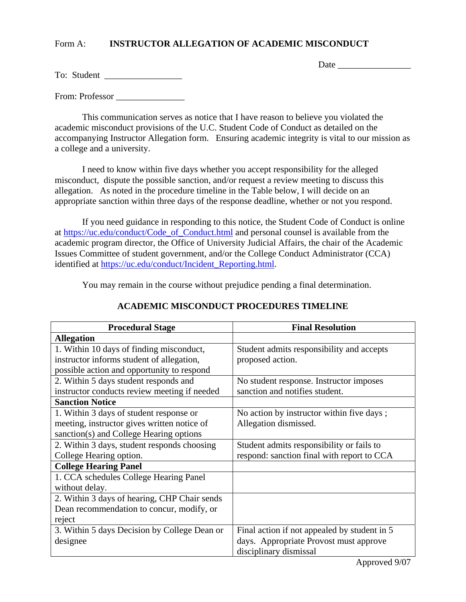## Form A: **INSTRUCTOR ALLEGATION OF ACADEMIC MISCONDUCT**

Date \_\_\_\_\_\_\_\_\_\_\_\_\_\_\_\_

|  | To: Student |  |
|--|-------------|--|
|--|-------------|--|

From: Professor \_\_\_\_\_\_\_\_\_\_\_\_\_\_\_

 This communication serves as notice that I have reason to believe you violated the academic misconduct provisions of the U.C. Student Code of Conduct as detailed on the accompanying Instructor Allegation form. Ensuring academic integrity is vital to our mission as a college and a university.

 I need to know within five days whether you accept responsibility for the alleged misconduct, dispute the possible sanction, and/or request a review meeting to discuss this allegation. As noted in the procedure timeline in the Table below, I will decide on an appropriate sanction within three days of the response deadline, whether or not you respond.

 If you need guidance in responding to this notice, the Student Code of Conduct is online at [https://uc.edu/conduct/Code\\_of\\_Conduct.html](https://uc.edu/conduct/Code_of_Conduct.html) and personal counsel is available from the academic program director, the Office of University Judicial Affairs, the chair of the Academic Issues Committee of student government, and/or the College Conduct Administrator (CCA) identified at [https://uc.edu/conduct/Incident\\_Reporting.html.](https://uc.edu/conduct/Incident_Reporting.html)

You may remain in the course without prejudice pending a final determination.

| <b>Procedural Stage</b>                      | <b>Final Resolution</b>                      |  |
|----------------------------------------------|----------------------------------------------|--|
| <b>Allegation</b>                            |                                              |  |
| 1. Within 10 days of finding misconduct,     | Student admits responsibility and accepts    |  |
| instructor informs student of allegation,    | proposed action.                             |  |
| possible action and opportunity to respond   |                                              |  |
| 2. Within 5 days student responds and        | No student response. Instructor imposes      |  |
| instructor conducts review meeting if needed | sanction and notifies student.               |  |
| <b>Sanction Notice</b>                       |                                              |  |
| 1. Within 3 days of student response or      | No action by instructor within five days;    |  |
| meeting, instructor gives written notice of  | Allegation dismissed.                        |  |
| sanction(s) and College Hearing options      |                                              |  |
| 2. Within 3 days, student responds choosing  | Student admits responsibility or fails to    |  |
| College Hearing option.                      | respond: sanction final with report to CCA   |  |
| <b>College Hearing Panel</b>                 |                                              |  |
| 1. CCA schedules College Hearing Panel       |                                              |  |
| without delay.                               |                                              |  |
| 2. Within 3 days of hearing, CHP Chair sends |                                              |  |
| Dean recommendation to concur, modify, or    |                                              |  |
| reject                                       |                                              |  |
| 3. Within 5 days Decision by College Dean or | Final action if not appealed by student in 5 |  |
| designee                                     | days. Appropriate Provost must approve       |  |
|                                              | disciplinary dismissal                       |  |

# **ACADEMIC MISCONDUCT PROCEDURES TIMELINE**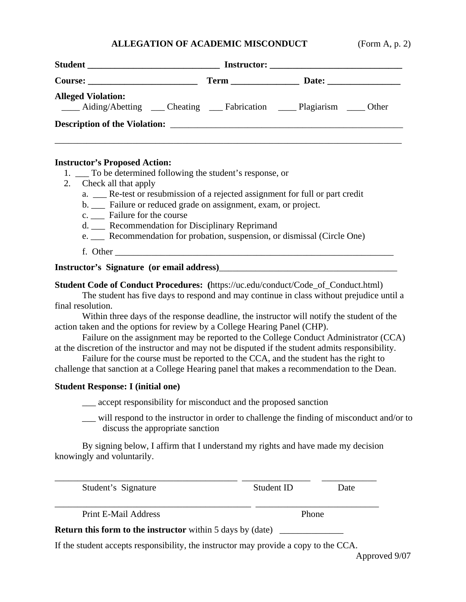# **ALLEGATION OF ACADEMIC MISCONDUCT**

| (Form A, p. 2) |  |  |
|----------------|--|--|
|                |  |  |

| Student                                                                                  |  |  |  |  |
|------------------------------------------------------------------------------------------|--|--|--|--|
|                                                                                          |  |  |  |  |
| <b>Alleged Violation:</b><br>Aiding/Abetting Cheating Fabrication __ Plagiarism __ Other |  |  |  |  |
|                                                                                          |  |  |  |  |
|                                                                                          |  |  |  |  |

#### **Instructor's Proposed Action:**

- 1. \_\_\_ To be determined following the student's response, or
- 2. Check all that apply
	- a. \_\_\_ Re-test or resubmission of a rejected assignment for full or part credit
	- b. \_\_\_ Failure or reduced grade on assignment, exam, or project.
	- c. \_\_\_ Failure for the course
	- d. Recommendation for Disciplinary Reprimand
	- e. Recommendation for probation, suspension, or dismissal (Circle One)
	- f. Other \_\_\_\_\_\_\_\_\_\_\_\_\_\_\_\_\_\_\_\_\_\_\_\_\_\_\_\_\_\_\_\_\_\_\_\_\_\_\_\_\_\_\_\_\_\_\_\_\_\_\_\_\_\_\_\_\_\_\_\_\_

**Instructor's Signature (or email address)** 

**Student Code of Conduct Procedures:** (https://uc.edu/conduct/Code\_of\_Conduct.html)

 The student has five days to respond and may continue in class without prejudice until a final resolution.

 Within three days of the response deadline, the instructor will notify the student of the action taken and the options for review by a College Hearing Panel (CHP).

 Failure on the assignment may be reported to the College Conduct Administrator (CCA) at the discretion of the instructor and may not be disputed if the student admits responsibility.

 Failure for the course must be reported to the CCA, and the student has the right to challenge that sanction at a College Hearing panel that makes a recommendation to the Dean.

#### **Student Response: I (initial one)**

\_\_\_ accept responsibility for misconduct and the proposed sanction

 \_\_\_ will respond to the instructor in order to challenge the finding of misconduct and/or to discuss the appropriate sanction

 By signing below, I affirm that I understand my rights and have made my decision knowingly and voluntarily.

| Student's Signature                                               | Student ID | Date |
|-------------------------------------------------------------------|------------|------|
| Print E-Mail Address                                              | Phone      |      |
| <b>Return this form to the instructor</b> within 5 days by (date) |            |      |

If the student accepts responsibility, the instructor may provide a copy to the CCA.

Approved 9/07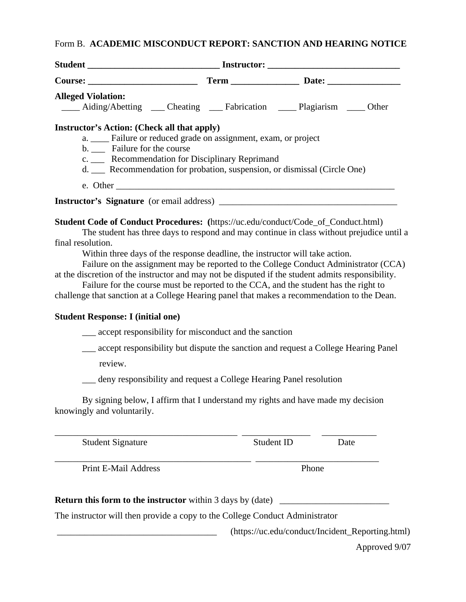# Form B. **ACADEMIC MISCONDUCT REPORT: SANCTION AND HEARING NOTICE**

| <b>Alleged Violation:</b>                                                                                                                                                                                                                                                                                  | ____ Aiding/Abetting ____ Cheating ____ Fabrication _____ Plagiarism ____ Other                                                                                                                                                                                                                                                                           |            |                                                     |
|------------------------------------------------------------------------------------------------------------------------------------------------------------------------------------------------------------------------------------------------------------------------------------------------------------|-----------------------------------------------------------------------------------------------------------------------------------------------------------------------------------------------------------------------------------------------------------------------------------------------------------------------------------------------------------|------------|-----------------------------------------------------|
| <b>Instructor's Action: (Check all that apply)</b><br>b. __ Failure for the course                                                                                                                                                                                                                         | a. ____ Failure or reduced grade on assignment, exam, or project<br>c. ____ Recommendation for Disciplinary Reprimand<br>d. __ Recommendation for probation, suspension, or dismissal (Circle One)                                                                                                                                                        |            |                                                     |
|                                                                                                                                                                                                                                                                                                            | e. Other                                                                                                                                                                                                                                                                                                                                                  |            |                                                     |
|                                                                                                                                                                                                                                                                                                            |                                                                                                                                                                                                                                                                                                                                                           |            |                                                     |
| Student Code of Conduct Procedures: (https://uc.edu/conduct/Code_of_Conduct.html)<br>final resolution.<br>at the discretion of the instructor and may not be disputed if the student admits responsibility.<br>challenge that sanction at a College Hearing panel that makes a recommendation to the Dean. | The student has three days to respond and may continue in class without prejudice until a<br>Within three days of the response deadline, the instructor will take action.<br>Failure on the assignment may be reported to the College Conduct Administrator (CCA)<br>Failure for the course must be reported to the CCA, and the student has the right to |            |                                                     |
| <b>Student Response: I (initial one)</b>                                                                                                                                                                                                                                                                   |                                                                                                                                                                                                                                                                                                                                                           |            |                                                     |
|                                                                                                                                                                                                                                                                                                            | __ accept responsibility for misconduct and the sanction                                                                                                                                                                                                                                                                                                  |            |                                                     |
|                                                                                                                                                                                                                                                                                                            | accept responsibility but dispute the sanction and request a College Hearing Panel                                                                                                                                                                                                                                                                        |            |                                                     |
| review.                                                                                                                                                                                                                                                                                                    |                                                                                                                                                                                                                                                                                                                                                           |            |                                                     |
|                                                                                                                                                                                                                                                                                                            | __ deny responsibility and request a College Hearing Panel resolution                                                                                                                                                                                                                                                                                     |            |                                                     |
| knowingly and voluntarily.                                                                                                                                                                                                                                                                                 | By signing below, I affirm that I understand my rights and have made my decision                                                                                                                                                                                                                                                                          |            |                                                     |
| <b>Student Signature</b>                                                                                                                                                                                                                                                                                   |                                                                                                                                                                                                                                                                                                                                                           | Student ID | Date                                                |
| Print E-Mail Address                                                                                                                                                                                                                                                                                       |                                                                                                                                                                                                                                                                                                                                                           | Phone      |                                                     |
| <b>Return this form to the instructor</b> within 3 days by (date)                                                                                                                                                                                                                                          |                                                                                                                                                                                                                                                                                                                                                           |            | <u> 1980 - Johann Barbara, martxa alemaniar arg</u> |
| The instructor will then provide a copy to the College Conduct Administrator                                                                                                                                                                                                                               |                                                                                                                                                                                                                                                                                                                                                           |            |                                                     |

\_\_\_\_\_\_\_\_\_\_\_\_\_\_\_\_\_\_\_\_\_\_\_\_\_\_\_\_\_\_\_\_\_\_\_ (https://uc.edu/conduct/Incident\_Reporting.html)

Approved 9/07